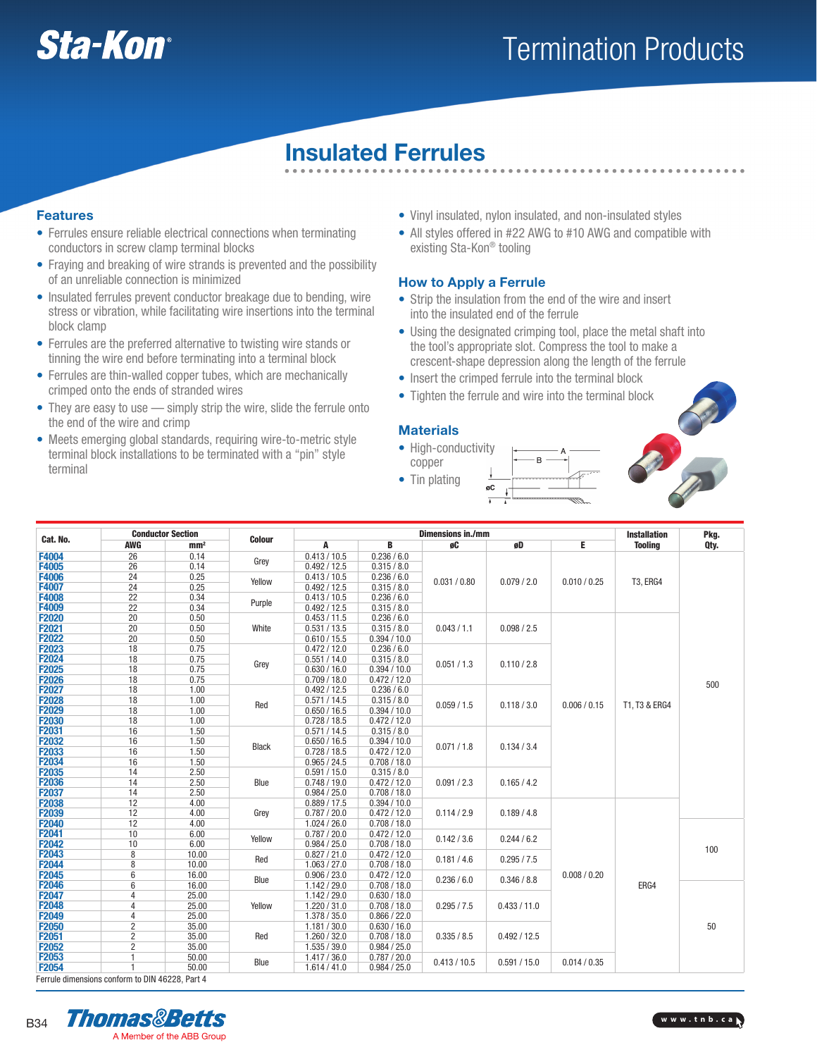

## Termination Products

## Insulated Ferrules

#### Features

- Ferrules ensure reliable electrical connections when terminating conductors in screw clamp terminal blocks
- Fraying and breaking of wire strands is prevented and the possibility of an unreliable connection is minimized
- Insulated ferrules prevent conductor breakage due to bending, wire stress or vibration, while facilitating wire insertions into the terminal block clamp
- Ferrules are the preferred alternative to twisting wire stands or tinning the wire end before terminating into a terminal block
- Ferrules are thin-walled copper tubes, which are mechanically crimped onto the ends of stranded wires
- They are easy to use simply strip the wire, slide the ferrule onto the end of the wire and crimp
- Meets emerging global standards, requiring wire-to-metric style terminal block installations to be terminated with a "pin" style terminal
- Vinyl insulated, nylon insulated, and non-insulated styles
- All styles offered in #22 AWG to #10 AWG and compatible with existing Sta-Kon® tooling

#### How to Apply a Ferrule

- Strip the insulation from the end of the wire and insert into the insulated end of the ferrule
- Using the designated crimping tool, place the metal shaft into the tool's appropriate slot. Compress the tool to make a crescent-shape depression along the length of the ferrule
- Insert the crimped ferrule into the terminal block
- Tighten the ferrule and wire into the terminal block

#### **Materials**

• High-conductivity copper • Tin plating



| Cat. No.                                        | <b>Conductor Section</b> |                 |               | <b>Dimensions in./mm</b>     |              |                            |                                                                              | <b>Installation</b> | Pkg.            |      |
|-------------------------------------------------|--------------------------|-----------------|---------------|------------------------------|--------------|----------------------------|------------------------------------------------------------------------------|---------------------|-----------------|------|
|                                                 | <b>AWG</b>               | mm <sup>2</sup> | <b>Colour</b> | Α                            | B            | øC                         | øD                                                                           | E                   | <b>Tooling</b>  | Qty. |
| F4004                                           | 26                       | 0.14            | Grey          | 0.413 / 10.5                 | 0.236 / 6.0  |                            |                                                                              |                     |                 |      |
| F4005                                           | 26                       | 0.14            |               | 0.492 / 12.5                 | 0.315 / 8.0  |                            |                                                                              | 0.010 / 0.25        | <b>T3, ERG4</b> |      |
| F4006                                           | 24                       | 0.25            | Yellow        | 0.413 / 10.5                 | 0.236 / 6.0  | 0.031 / 0.80               | 0.079 / 2.0                                                                  |                     |                 |      |
| F4007                                           | 24                       | 0.25            |               | 0.492 / 12.5<br>0.315 / 8.0  |              |                            |                                                                              |                     |                 |      |
| F4008                                           | 22                       | 0.34            | Purple        | 0.413 / 10.5                 | 0.236 / 6.0  |                            |                                                                              |                     |                 |      |
| F4009                                           | 22                       | 0.34            |               | 0.492 / 12.5<br>0.315 / 8.0  |              |                            |                                                                              |                     |                 |      |
| <b>F2020</b>                                    | 20                       | 0.50            |               | 0.453 / 11.5                 | 0.236 / 6.0  | 0.043 / 1.1                | 0.098 / 2.5                                                                  | 0.006 / 0.15        | T1, T3 & ERG4   | 500  |
| F2021                                           | 20                       | 0.50            | White         | 0.531 / 13.5                 | 0.315 / 8.0  |                            |                                                                              |                     |                 |      |
| F2022                                           | 20                       | 0.50            |               | 0.610 / 15.5                 | 0.394 / 10.0 |                            |                                                                              |                     |                 |      |
| F2023                                           | 18                       | 0.75            |               | 0.472 / 12.0                 | 0.236 / 6.0  |                            |                                                                              |                     |                 |      |
| F2024                                           | 18                       | 0.75            | Grey          | 0.551 / 14.0                 | 0.315 / 8.0  | 0.051 / 1.3                | 0.110 / 2.8                                                                  |                     |                 |      |
| F2025                                           | 18                       | 0.75            |               | 0.630 / 16.0                 | 0.394 / 10.0 |                            |                                                                              |                     |                 |      |
| F2026                                           | 18                       | 0.75            |               | 0.709 / 18.0                 | 0.472 / 12.0 |                            |                                                                              |                     |                 |      |
| F2027                                           | 18                       | 1.00            |               | 0.492 / 12.5                 | 0.236 / 6.0  |                            | 0.118 / 3.0                                                                  |                     |                 |      |
| <b>F2028</b>                                    | 18                       | 1.00            | Red           | 0.571/14.5                   | 0.315 / 8.0  | 0.059/1.5                  |                                                                              |                     |                 |      |
| F2029                                           | 18                       | 1.00            |               | 0.650 / 16.5                 | 0.394 / 10.0 |                            |                                                                              |                     |                 |      |
| F2030                                           | 18                       | 1.00            |               | 0.728 / 18.5                 | 0.472 / 12.0 |                            |                                                                              |                     |                 |      |
| F2031                                           | 16                       | 1.50            |               | 0.571/14.5                   | 0.315 / 8.0  | 0.071 / 1.8                | 0.134 / 3.4                                                                  |                     |                 |      |
| F2032                                           | 16                       | 1.50            | <b>Black</b>  | 0.650 / 16.5                 | 0.394 / 10.0 |                            |                                                                              |                     |                 |      |
| F2033                                           | 16                       | 1.50            |               | 0.728 / 18.5                 | 0.472 / 12.0 |                            |                                                                              |                     |                 |      |
| F2034                                           | 16                       | 1.50            |               | 0.965 / 24.5<br>0.708 / 18.0 |              |                            |                                                                              |                     |                 |      |
| F2035                                           | 14                       | 2.50            |               | 0.591 / 15.0                 | 0.315 / 8.0  | 0.165 / 4.2<br>0.091 / 2.3 |                                                                              |                     |                 |      |
| F2036                                           | 14                       | 2.50            |               | 0.748 / 19.0<br>Blue         | 0.472 / 12.0 |                            |                                                                              |                     |                 |      |
| F2037                                           | 14                       | 2.50            |               | 0.984 / 25.0                 | 0.708 / 18.0 |                            |                                                                              |                     |                 |      |
| F2038                                           | 12                       | 4.00            |               | 0.889 / 17.5                 | 0.394 / 10.0 |                            | 0.189 / 4.8                                                                  | 0.008 / 0.20        | ERG4            |      |
| F2039                                           | 12                       | 4.00            | Grey          | 0.787 / 20.0                 | 0.472 / 12.0 | 0.114 / 2.9                |                                                                              |                     |                 |      |
| F2040                                           | 12                       | 4.00            |               | 1.024 / 26.0                 | 0.708 / 18.0 |                            |                                                                              |                     |                 | 100  |
| F2041                                           | 10                       | 6.00            | Yellow        | 0.787 / 20.0                 | 0.472 / 12.0 | 0.142 / 3.6                | 0.244 / 6.2                                                                  |                     |                 |      |
| F2042                                           | 10                       | 6.00            |               | 0.984 / 25.0                 | 0.708 / 18.0 |                            |                                                                              |                     |                 |      |
| F2043                                           | 8                        | 10.00           | Red           | 0.827 / 21.0                 | 0.472 / 12.0 | 0.181 / 4.6                | 0.295 / 7.5                                                                  |                     |                 |      |
| F2044                                           | 8                        | 10.00           |               | 1.063 / 27.0                 | 0.708 / 18.0 |                            |                                                                              |                     |                 |      |
| F2045                                           | $6\phantom{1}$           | 16.00           | Blue          | 0.906 / 23.0                 | 0.472 / 12.0 | 0.236 / 6.0                | 0.346 / 8.8                                                                  |                     |                 |      |
| F2046                                           | $6\phantom{1}$           | 16.00           |               | 1.142 / 29.0                 | 0.708 / 18.0 |                            |                                                                              |                     |                 |      |
| F2047                                           | 4                        | 25.00           |               | 1.142 / 29.0                 | 0.630 / 18.0 |                            | 0.433 / 11.0<br>0.492 / 12.5<br>0.413 / 10.5<br>0.591 / 15.0<br>0.014 / 0.35 |                     |                 |      |
| F2048                                           | $\overline{4}$           | 25.00           | Yellow        | 1.220 / 31.0                 | 0.708 / 18.0 | 0.295 / 7.5                |                                                                              |                     |                 | 50   |
| F2049                                           | 4                        | 25.00           |               | 1.378 / 35.0                 | 0.866 / 22.0 |                            |                                                                              |                     |                 |      |
| F2050                                           | $\overline{\mathbf{c}}$  | 35.00           |               | 1.181 / 30.0                 | 0.630 / 16.0 |                            |                                                                              |                     |                 |      |
| F2051                                           | $\overline{\mathbf{c}}$  | 35.00           | Red           | 1.260 / 32.0                 | 0.708 / 18.0 | 0.335 / 8.5                |                                                                              |                     |                 |      |
| F2052                                           | $\overline{2}$           | 35.00           |               | 1.535 / 39.0                 | 0.984 / 25.0 |                            |                                                                              |                     |                 |      |
| F2053                                           | 1                        | 50.00           | Blue          | 1.417 / 36.0                 | 0.787 / 20.0 |                            |                                                                              |                     |                 |      |
| F2054                                           | 1                        | 50.00           |               | 1.614 / 41.0                 | 0.984 / 25.0 |                            |                                                                              |                     |                 |      |
| Ferrule dimensions conform to DIN 46228, Part 4 |                          |                 |               |                              |              |                            |                                                                              |                     |                 |      |